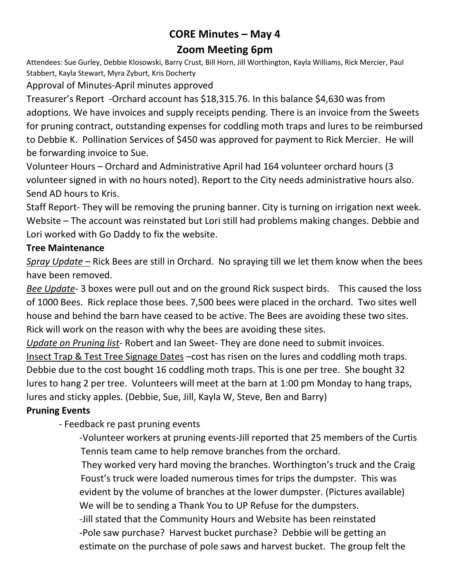# **CORE Minutes – May 4 Zoom Meeting 6pm**

Attendees: Sue Gurley, Debbie Klosowski, Barry Crust, Bill Horn, Jill Worthington, Kayla Williams, Rick Mercier, Paul Stabbert, Kayla Stewart, Myra Zyburt, Kris Docherty

Approval of Minutes-April minutes approved

Treasurer's Report -Orchard account has \$18,315.76. In this balance \$4,630 was from adoptions. We have invoices and supply receipts pending. There is an invoice from the Sweets for pruning contract, outstanding expenses for coddling moth traps and lures to be reimbursed to Debbie K. Pollination Services of \$450 was approved for payment to Rick Mercier. He will be forwarding invoice to Sue.

Volunteer Hours – Orchard and Administrative April had 164 volunteer orchard hours (3 volunteer signed in with no hours noted). Report to the City needs administrative hours also. Send AD hours to Kris.

Staff Report- They will be removing the pruning banner. City is turning on irrigation next week. Website – The account was reinstated but Lori still had problems making changes. Debbie and Lori worked with Go Daddy to fix the website.

## **Tree Maintenance**

*Spray Update* – Rick Bees are still in Orchard. No spraying till we let them know when the bees have been removed.

*Bee Update*- 3 boxes were pull out and on the ground Rick suspect birds. This caused the loss of 1000 Bees. Rick replace those bees. 7,500 bees were placed in the orchard. Two sites well house and behind the barn have ceased to be active. The Bees are avoiding these two sites. Rick will work on the reason with why the bees are avoiding these sites.

*Update on Pruning list*- Robert and Ian Sweet- They are done need to submit invoices. Insect Trap & Test Tree Signage Dates –cost has risen on the lures and coddling moth traps. Debbie due to the cost bought 16 coddling moth traps. This is one per tree. She bought 32 lures to hang 2 per tree. Volunteers will meet at the barn at 1:00 pm Monday to hang traps, lures and sticky apples. (Debbie, Sue, Jill, Kayla W, Steve, Ben and Barry)

## **Pruning Events**

- Feedback re past pruning events

-Volunteer workers at pruning events-Jill reported that 25 members of the Curtis Tennis team came to help remove branches from the orchard.

They worked very hard moving the branches. Worthington's truck and the Craig Foust's truck were loaded numerous times for trips the dumpster. This was evident by the volume of branches at the lower dumpster. (Pictures available) We will be to sending a Thank You to UP Refuse for the dumpsters.

-Jill stated that the Community Hours and Website has been reinstated -Pole saw purchase? Harvest bucket purchase? Debbie will be getting an estimate on the purchase of pole saws and harvest bucket. The group felt the